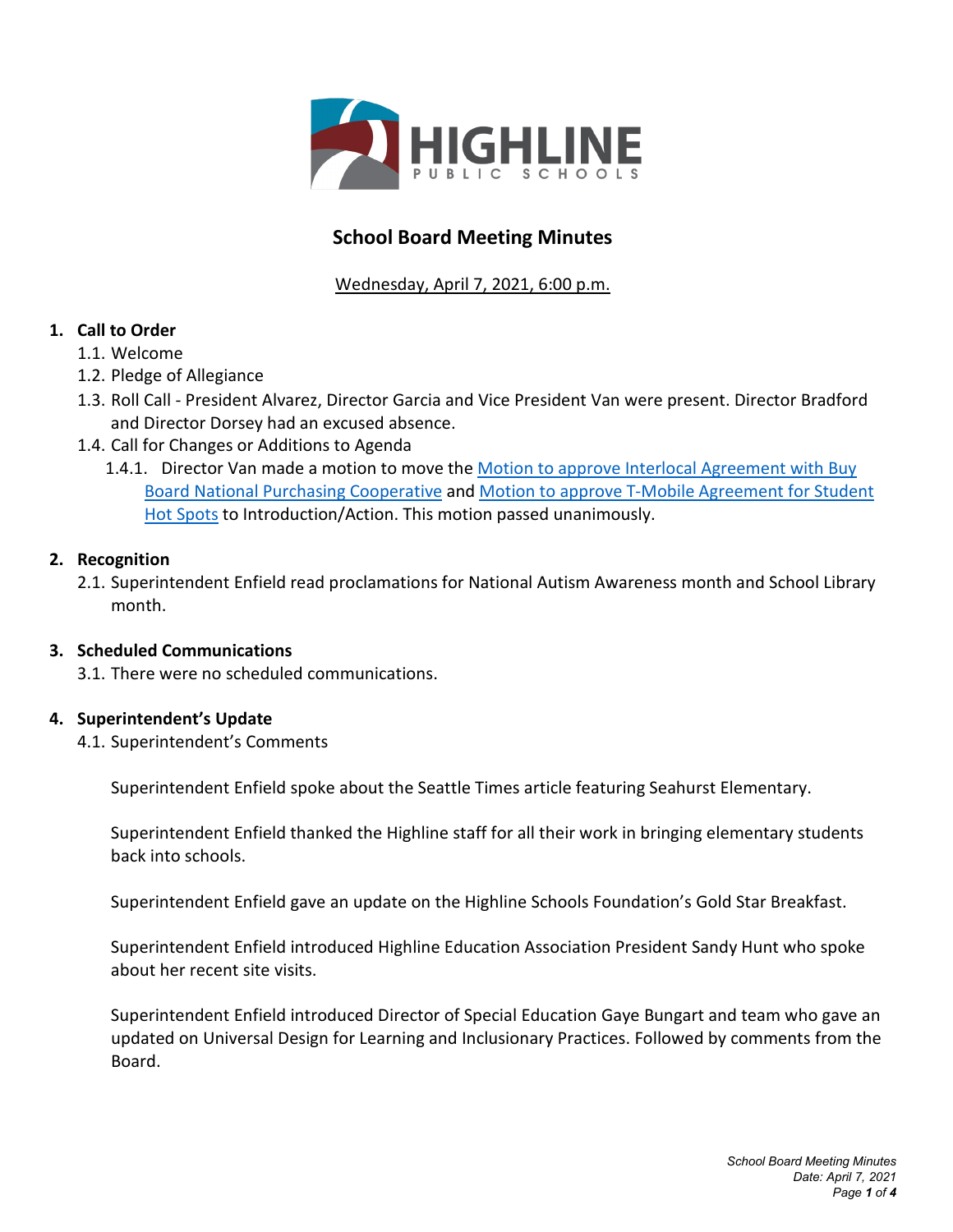

# **School Board Meeting Minutes**

Wednesday, April 7, 2021, 6:00 p.m.

# **1. Call to Order**

- 1.1. Welcome
- 1.2. Pledge of Allegiance
- 1.3. Roll Call President Alvarez, Director Garcia and Vice President Van were present. Director Bradford and Director Dorsey had an excused absence.
- 1.4. Call for Changes or Additions to Agenda
	- 1.4.1. Director Van made a motion to move the Motion to approve Interlocal Agreement with Buy Board [National Purchasing Cooperative](https://highlineschoolsorg.finalsite.com/fs/resource-manager/view/e2144c9f-e68e-495e-a3c6-802dd7153d8b) and Motion to approve [T-Mobile Agreement for Student](https://highlineschoolsorg.finalsite.com/fs/resource-manager/view/0876bd26-70bf-4c22-843b-7cd4c6f242ab)  [Hot Spots](https://highlineschoolsorg.finalsite.com/fs/resource-manager/view/0876bd26-70bf-4c22-843b-7cd4c6f242ab) to Introduction/Action. This motion passed unanimously.

## **2. Recognition**

2.1. Superintendent Enfield read proclamations for National Autism Awareness month and School Library month.

## **3. Scheduled Communications**

3.1. There were no scheduled communications.

# **4. Superintendent's Update**

4.1. Superintendent's Comments

Superintendent Enfield spoke about the Seattle Times article featuring Seahurst Elementary.

Superintendent Enfield thanked the Highline staff for all their work in bringing elementary students back into schools.

Superintendent Enfield gave an update on the Highline Schools Foundation's Gold Star Breakfast.

Superintendent Enfield introduced Highline Education Association President Sandy Hunt who spoke about her recent site visits.

Superintendent Enfield introduced Director of Special Education Gaye Bungart and team who gave an updated on Universal Design for Learning and Inclusionary Practices. Followed by comments from the Board.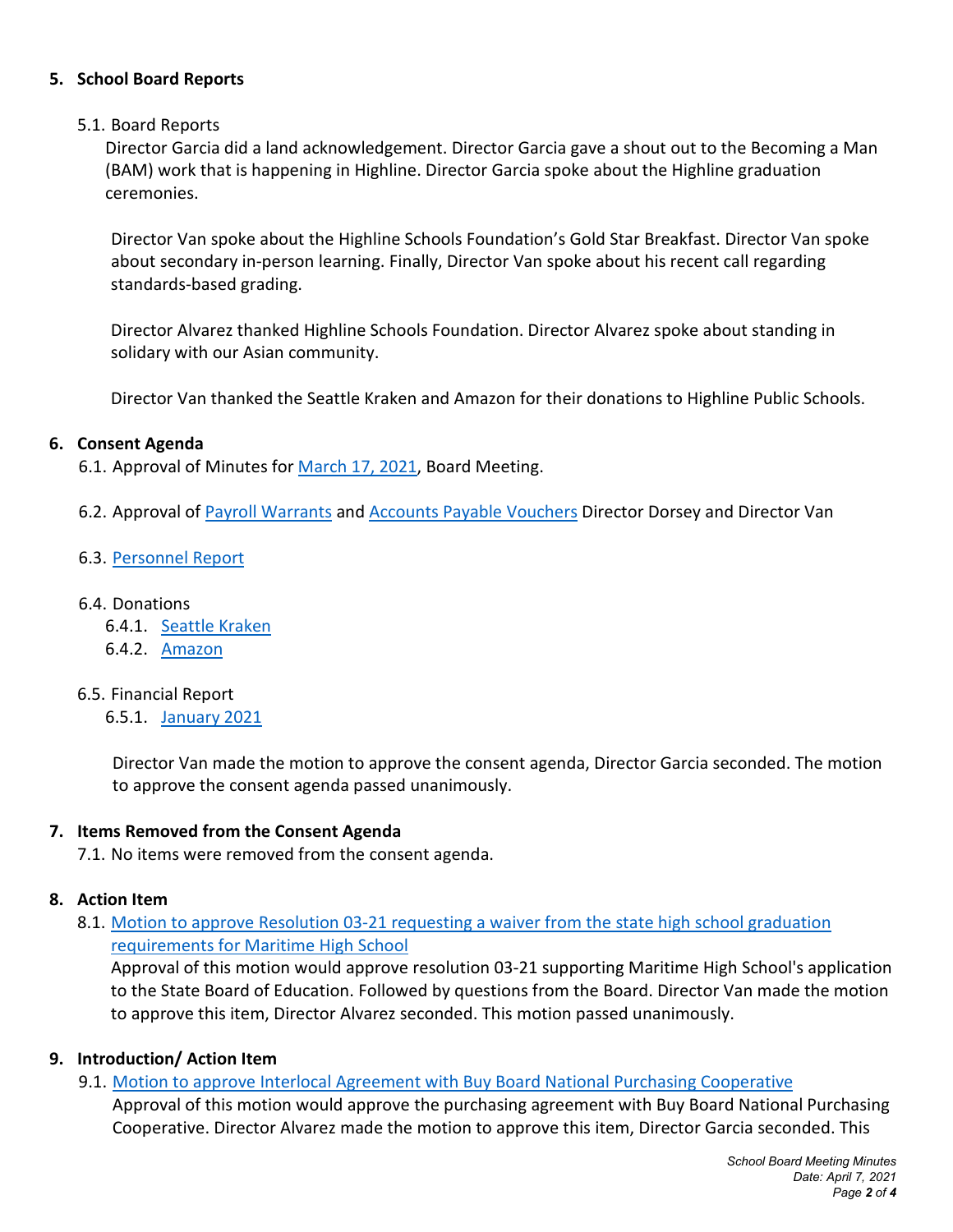### **5. School Board Reports**

### 5.1. Board Reports

Director Garcia did a land acknowledgement. Director Garcia gave a shout out to the Becoming a Man (BAM) work that is happening in Highline. Director Garcia spoke about the Highline graduation ceremonies.

Director Van spoke about the Highline Schools Foundation's Gold Star Breakfast. Director Van spoke about secondary in-person learning. Finally, Director Van spoke about his recent call regarding standards-based grading.

Director Alvarez thanked Highline Schools Foundation. Director Alvarez spoke about standing in solidary with our Asian community.

Director Van thanked the Seattle Kraken and Amazon for their donations to Highline Public Schools.

#### **6. Consent Agenda**

6.1. Approval of Minutes for [March 17,](https://highlineschoolsorg.finalsite.com/fs/resource-manager/view/1dc4fb72-88a4-433e-9159-2fc26ecd8a19) 2021, Board Meeting.

6.2. Approval of [Payroll Warrants](https://highlineschoolsorg.finalsite.com/fs/resource-manager/view/8d1469fa-a676-4c81-a0bc-eeeb086acffc) and [Accounts Payable Vouchers](https://highlineschoolsorg.finalsite.com/fs/resource-manager/view/cf83b22d-ce34-4c66-a350-baed3b06db1e) Director Dorsey and Director Van

### 6.3. [Personnel Report](https://highlineschoolsorg.finalsite.com/fs/resource-manager/view/d5c13c0a-f21d-4b43-bf77-b28428597701)

#### 6.4. Donations

- 6.4.1. [Seattle Kraken](https://highlineschoolsorg.finalsite.com/fs/resource-manager/view/53bb2b18-fa54-47b7-a581-ca1b0141f719)
- 6.4.2. [Amazon](https://highlineschoolsorg.finalsite.com/fs/resource-manager/view/d8871855-c0fd-4429-9632-f8a1fcfa40c0)

#### 6.5. Financial Report

6.5.1. [January 2021](https://highlineschoolsorg.finalsite.com/fs/resource-manager/view/8f9cade0-64b3-4b4e-9cfd-1fa9f8d9b3c1)

Director Van made the motion to approve the consent agenda, Director Garcia seconded. The motion to approve the consent agenda passed unanimously.

#### **7. Items Removed from the Consent Agenda**

7.1. No items were removed from the consent agenda.

#### **8. Action Item**

8.1. [Motion to approve Resolution 03-21 requesting a waiver from the state high school graduation](https://highlineschoolsorg.finalsite.com/fs/resource-manager/view/5c8d8e0e-9540-440a-b6ec-edf00afd2968)  [requirements for Maritime High School](https://highlineschoolsorg.finalsite.com/fs/resource-manager/view/5c8d8e0e-9540-440a-b6ec-edf00afd2968)

Approval of this motion would approve resolution 03-21 supporting Maritime High School's application to the State Board of Education. Followed by questions from the Board. Director Van made the motion to approve this item, Director Alvarez seconded. This motion passed unanimously.

#### **9. Introduction/ Action Item**

9.1. [Motion to approve Interlocal Agreement with Buy Board National Purchasing Cooperative](https://highlineschoolsorg.finalsite.com/fs/resource-manager/view/e2144c9f-e68e-495e-a3c6-802dd7153d8b)

Approval of this motion would approve the purchasing agreement with Buy Board National Purchasing Cooperative. Director Alvarez made the motion to approve this item, Director Garcia seconded. This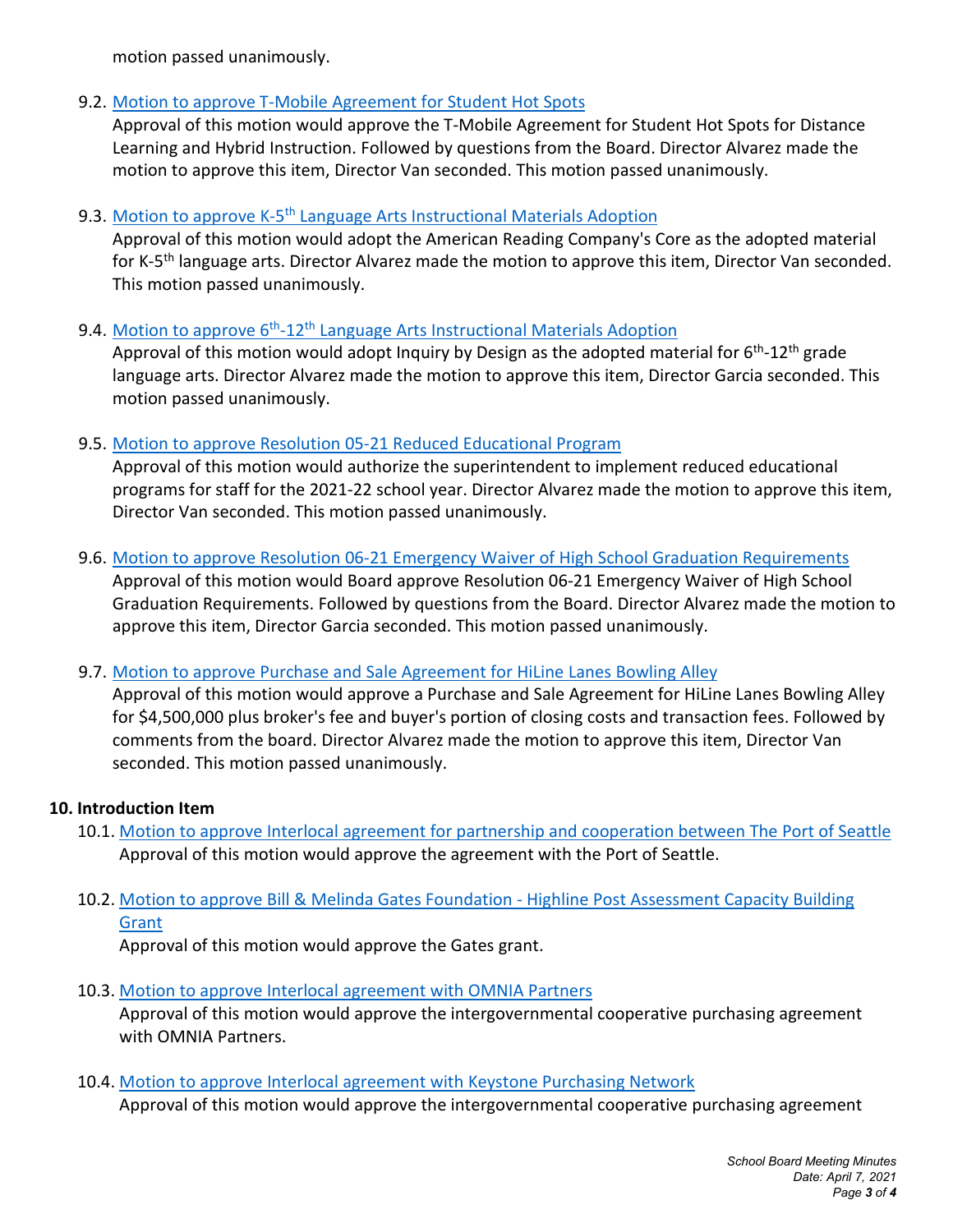motion passed unanimously.

9.2. Motion to approve [T-Mobile Agreement for Student Hot Spots](https://highlineschoolsorg.finalsite.com/fs/resource-manager/view/0876bd26-70bf-4c22-843b-7cd4c6f242ab)

Approval of this motion would approve the T-Mobile Agreement for Student Hot Spots for Distance Learning and Hybrid Instruction. Followed by questions from the Board. Director Alvarez made the motion to approve this item, Director Van seconded. This motion passed unanimously.

## 9.3. Motion to approve K-5<sup>th</sup> [Language Arts Instructional Materials Adoption](https://highlineschoolsorg.finalsite.com/fs/resource-manager/view/7021956b-f8ce-468c-91cb-21256a26dcae)

Approval of this motion would adopt the American Reading Company's Core as the adopted material for K-5<sup>th</sup> language arts. Director Alvarez made the motion to approve this item, Director Van seconded. This motion passed unanimously.

# 9.4. Motion to approve  $6<sup>th</sup>$ -12<sup>th</sup> [Language Arts Instructional Materials Adoption](https://highlineschoolsorg.finalsite.com/fs/resource-manager/view/fa79aa8d-c16a-496c-a2e4-01dd43f6139b)

Approval of this motion would adopt Inquiry by Design as the adopted material for  $6<sup>th</sup>$ -12<sup>th</sup> grade language arts. Director Alvarez made the motion to approve this item, Director Garcia seconded. This motion passed unanimously.

# 9.5. [Motion to approve Resolution 05-21 Reduced Educational Program](https://highlineschoolsorg.finalsite.com/fs/resource-manager/view/56683e3d-dd35-4386-8a9b-5dfe23de09a8)

Approval of this motion would authorize the superintendent to implement reduced educational programs for staff for the 2021-22 school year. Director Alvarez made the motion to approve this item, Director Van seconded. This motion passed unanimously.

# 9.6. [Motion to approve Resolution 06-21 Emergency Waiver of High School Graduation Requirements](https://highlineschoolsorg.finalsite.com/fs/resource-manager/view/7eddc1e5-a5bf-4645-92dc-eb2fe20dc804)

Approval of this motion would Board approve Resolution 06-21 Emergency Waiver of High School Graduation Requirements. Followed by questions from the Board. Director Alvarez made the motion to approve this item, Director Garcia seconded. This motion passed unanimously.

## 9.7. [Motion to approve Purchase and Sale Agreement for HiLine Lanes Bowling Alley](https://highlineschoolsorg.finalsite.com/fs/resource-manager/view/8949f81e-c32c-4262-b661-3c518a18791e)

Approval of this motion would approve a Purchase and Sale Agreement for HiLine Lanes Bowling Alley for \$4,500,000 plus broker's fee and buyer's portion of closing costs and transaction fees. Followed by comments from the board. Director Alvarez made the motion to approve this item, Director Van seconded. This motion passed unanimously.

## **10. Introduction Item**

- 10.1. [Motion to approve Interlocal agreement for partnership and cooperation between The Port of Seattle](https://highlineschoolsorg.finalsite.com/fs/resource-manager/view/01adaa31-102b-4942-8253-764d7796141e) Approval of this motion would approve the agreement with the Port of Seattle.
- 10.2. [Motion to approve Bill & Melinda Gates Foundation -](https://highlineschoolsorg.finalsite.com/fs/resource-manager/view/4b8934e9-ba2a-45e7-a2f0-b606e0c149cf) Highline Post Assessment Capacity Building [Grant](https://highlineschoolsorg.finalsite.com/fs/resource-manager/view/4b8934e9-ba2a-45e7-a2f0-b606e0c149cf)

Approval of this motion would approve the Gates grant.

10.3. [Motion to approve Interlocal agreement with](https://highlineschoolsorg.finalsite.com/fs/resource-manager/view/7050cac1-d7cc-4ec4-aaed-3318e280b358) OMNIA Partners

Approval of this motion would approve the intergovernmental cooperative purchasing agreement with OMNIA Partners.

10.4. [Motion to approve Interlocal agreement with Keystone Purchasing Network](https://highlineschoolsorg.finalsite.com/fs/resource-manager/view/9010e7ab-45c6-41de-890e-7bb5c131cc3b)

Approval of this motion would approve the intergovernmental cooperative purchasing agreement